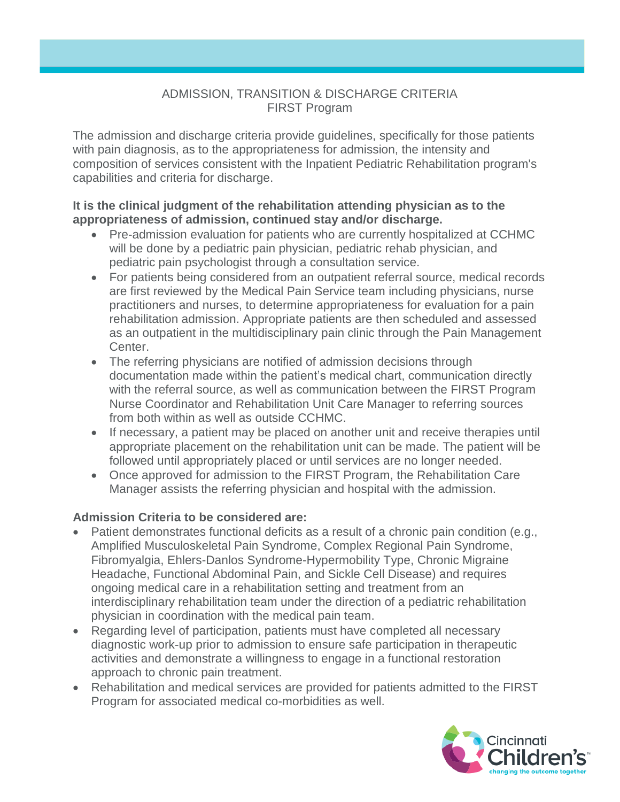#### ADMISSION, TRANSITION & DISCHARGE CRITERIA FIRST Program

The admission and discharge criteria provide guidelines, specifically for those patients with pain diagnosis, as to the appropriateness for admission, the intensity and composition of services consistent with the Inpatient Pediatric Rehabilitation program's capabilities and criteria for discharge.

#### **It is the clinical judgment of the rehabilitation attending physician as to the appropriateness of admission, continued stay and/or discharge.**

- Pre-admission evaluation for patients who are currently hospitalized at CCHMC will be done by a pediatric pain physician, pediatric rehab physician, and pediatric pain psychologist through a consultation service.
- For patients being considered from an outpatient referral source, medical records are first reviewed by the Medical Pain Service team including physicians, nurse practitioners and nurses, to determine appropriateness for evaluation for a pain rehabilitation admission. Appropriate patients are then scheduled and assessed as an outpatient in the multidisciplinary pain clinic through the Pain Management Center.
- The referring physicians are notified of admission decisions through documentation made within the patient's medical chart, communication directly with the referral source, as well as communication between the FIRST Program Nurse Coordinator and Rehabilitation Unit Care Manager to referring sources from both within as well as outside CCHMC.
- If necessary, a patient may be placed on another unit and receive therapies until appropriate placement on the rehabilitation unit can be made. The patient will be followed until appropriately placed or until services are no longer needed.
- Once approved for admission to the FIRST Program, the Rehabilitation Care Manager assists the referring physician and hospital with the admission.

# **Admission Criteria to be considered are:**

- Patient demonstrates functional deficits as a result of a chronic pain condition (e.g., Amplified Musculoskeletal Pain Syndrome, Complex Regional Pain Syndrome, Fibromyalgia, Ehlers-Danlos Syndrome-Hypermobility Type, Chronic Migraine Headache, Functional Abdominal Pain, and Sickle Cell Disease) and requires ongoing medical care in a rehabilitation setting and treatment from an interdisciplinary rehabilitation team under the direction of a pediatric rehabilitation physician in coordination with the medical pain team.
- Regarding level of participation, patients must have completed all necessary diagnostic work-up prior to admission to ensure safe participation in therapeutic activities and demonstrate a willingness to engage in a functional restoration approach to chronic pain treatment.
- Rehabilitation and medical services are provided for patients admitted to the FIRST Program for associated medical co-morbidities as well.

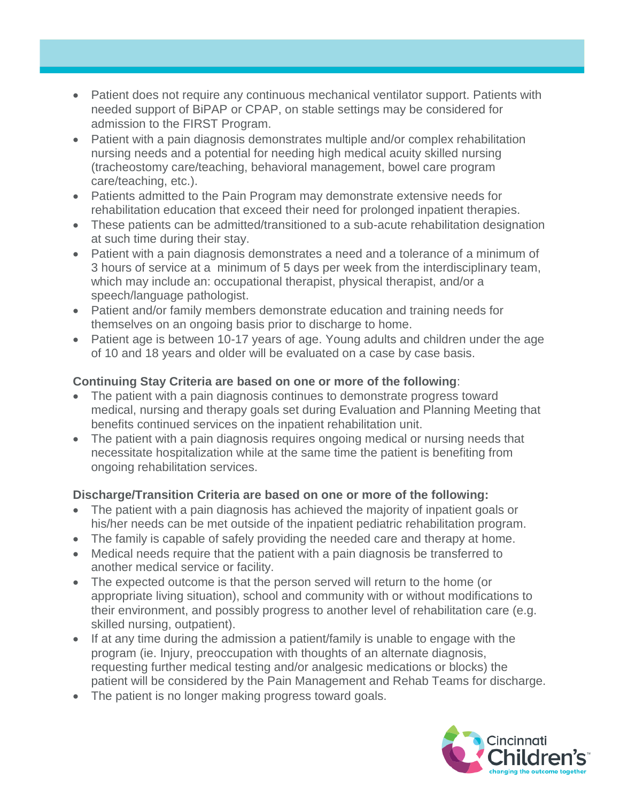- Patient does not require any continuous mechanical ventilator support. Patients with needed support of BiPAP or CPAP, on stable settings may be considered for admission to the FIRST Program.
- Patient with a pain diagnosis demonstrates multiple and/or complex rehabilitation nursing needs and a potential for needing high medical acuity skilled nursing (tracheostomy care/teaching, behavioral management, bowel care program care/teaching, etc.).
- Patients admitted to the Pain Program may demonstrate extensive needs for rehabilitation education that exceed their need for prolonged inpatient therapies.
- These patients can be admitted/transitioned to a sub-acute rehabilitation designation at such time during their stay.
- Patient with a pain diagnosis demonstrates a need and a tolerance of a minimum of 3 hours of service at a minimum of 5 days per week from the interdisciplinary team, which may include an: occupational therapist, physical therapist, and/or a speech/language pathologist.
- Patient and/or family members demonstrate education and training needs for themselves on an ongoing basis prior to discharge to home.
- Patient age is between 10-17 years of age. Young adults and children under the age of 10 and 18 years and older will be evaluated on a case by case basis.

### **Continuing Stay Criteria are based on one or more of the following**:

- The patient with a pain diagnosis continues to demonstrate progress toward medical, nursing and therapy goals set during Evaluation and Planning Meeting that benefits continued services on the inpatient rehabilitation unit.
- The patient with a pain diagnosis requires ongoing medical or nursing needs that necessitate hospitalization while at the same time the patient is benefiting from ongoing rehabilitation services.

# **Discharge/Transition Criteria are based on one or more of the following:**

- The patient with a pain diagnosis has achieved the majority of inpatient goals or his/her needs can be met outside of the inpatient pediatric rehabilitation program.
- The family is capable of safely providing the needed care and therapy at home.
- Medical needs require that the patient with a pain diagnosis be transferred to another medical service or facility.
- The expected outcome is that the person served will return to the home (or appropriate living situation), school and community with or without modifications to their environment, and possibly progress to another level of rehabilitation care (e.g. skilled nursing, outpatient).
- If at any time during the admission a patient/family is unable to engage with the program (ie. Injury, preoccupation with thoughts of an alternate diagnosis, requesting further medical testing and/or analgesic medications or blocks) the patient will be considered by the Pain Management and Rehab Teams for discharge.
- The patient is no longer making progress toward goals.